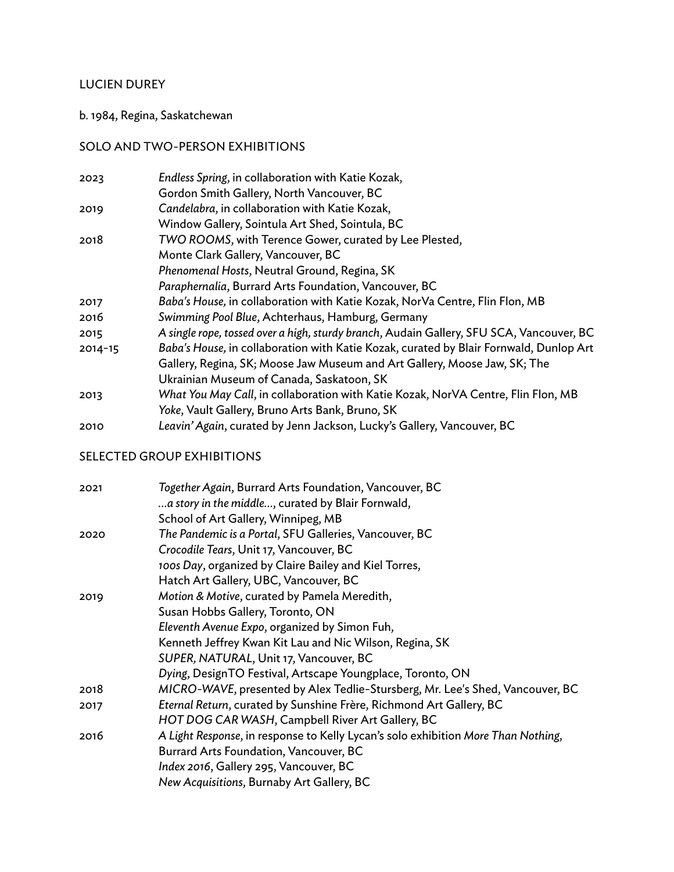## LUCIEN DUREY

### b. 1984, Regina, Saskatchewan

## SOLO AND TWO-PERSON EXHIBITIONS

| Endless Spring, in collaboration with Katie Kozak,                                       |
|------------------------------------------------------------------------------------------|
| Gordon Smith Gallery, North Vancouver, BC                                                |
| Candelabra, in collaboration with Katie Kozak,                                           |
| Window Gallery, Sointula Art Shed, Sointula, BC                                          |
| TWO ROOMS, with Terence Gower, curated by Lee Plested,                                   |
| Monte Clark Gallery, Vancouver, BC                                                       |
| Phenomenal Hosts, Neutral Ground, Regina, SK                                             |
| Paraphernalia, Burrard Arts Foundation, Vancouver, BC                                    |
| Baba's House, in collaboration with Katie Kozak, NorVa Centre, Flin Flon, MB             |
| Swimming Pool Blue, Achterhaus, Hamburg, Germany                                         |
| A single rope, tossed over a high, sturdy branch, Audain Gallery, SFU SCA, Vancouver, BC |
| Baba's House, in collaboration with Katie Kozak, curated by Blair Fornwald, Dunlop Art   |
| Gallery, Regina, SK; Moose Jaw Museum and Art Gallery, Moose Jaw, SK; The                |
| Ukrainian Museum of Canada, Saskatoon, SK                                                |
| What You May Call, in collaboration with Katie Kozak, NorVA Centre, Flin Flon, MB        |
| Yoke, Vault Gallery, Bruno Arts Bank, Bruno, SK                                          |
| Leavin' Again, curated by Jenn Jackson, Lucky's Gallery, Vancouver, BC                   |
|                                                                                          |

# SELECTED GROUP EXHIBITIONS

| 2021 | Together Again, Burrard Arts Foundation, Vancouver, BC                            |
|------|-----------------------------------------------------------------------------------|
|      | a story in the middle, curated by Blair Fornwald,                                 |
|      | School of Art Gallery, Winnipeg, MB                                               |
| 2020 | The Pandemic is a Portal, SFU Galleries, Vancouver, BC                            |
|      | Crocodile Tears, Unit 17, Vancouver, BC                                           |
|      | 100s Day, organized by Claire Bailey and Kiel Torres,                             |
|      | Hatch Art Gallery, UBC, Vancouver, BC                                             |
| 2019 | Motion & Motive, curated by Pamela Meredith,                                      |
|      | Susan Hobbs Gallery, Toronto, ON                                                  |
|      | Eleventh Avenue Expo, organized by Simon Fuh,                                     |
|      | Kenneth Jeffrey Kwan Kit Lau and Nic Wilson, Regina, SK                           |
|      | SUPER, NATURAL, Unit 17, Vancouver, BC                                            |
|      | Dying, DesignTO Festival, Artscape Youngplace, Toronto, ON                        |
| 2018 | MICRO-WAVE, presented by Alex Tedlie-Stursberg, Mr. Lee's Shed, Vancouver, BC     |
| 2017 | Eternal Return, curated by Sunshine Frère, Richmond Art Gallery, BC               |
|      | HOT DOG CAR WASH, Campbell River Art Gallery, BC                                  |
| 2016 | A Light Response, in response to Kelly Lycan's solo exhibition More Than Nothing, |
|      | Burrard Arts Foundation, Vancouver, BC                                            |
|      | Index 2016, Gallery 295, Vancouver, BC                                            |
|      | New Acquisitions, Burnaby Art Gallery, BC                                         |
|      |                                                                                   |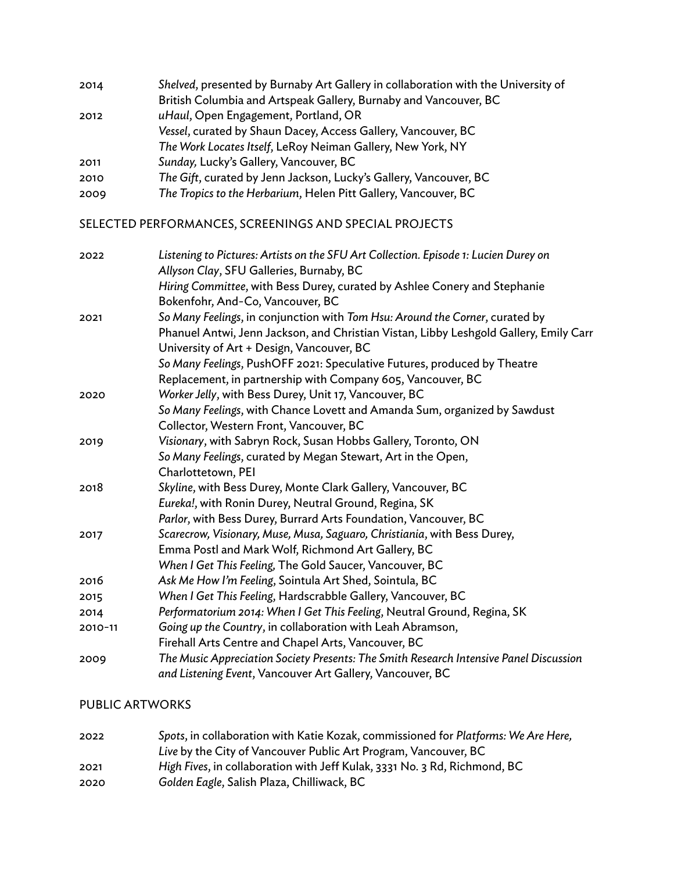| 2014 | Shelved, presented by Burnaby Art Gallery in collaboration with the University of |
|------|-----------------------------------------------------------------------------------|
|      | British Columbia and Artspeak Gallery, Burnaby and Vancouver, BC                  |
| 2012 | uHaul, Open Engagement, Portland, OR                                              |
|      | Vessel, curated by Shaun Dacey, Access Gallery, Vancouver, BC                     |
|      | The Work Locates Itself, LeRoy Neiman Gallery, New York, NY                       |
| 2011 | Sunday, Lucky's Gallery, Vancouver, BC                                            |
| 2010 | The Gift, curated by Jenn Jackson, Lucky's Gallery, Vancouver, BC                 |
| 2009 | The Tropics to the Herbarium, Helen Pitt Gallery, Vancouver, BC                   |

SELECTED PERFORMANCES, SCREENINGS AND SPECIAL PROJECTS

| 2022    | Listening to Pictures: Artists on the SFU Art Collection. Episode 1: Lucien Durey on                                               |
|---------|------------------------------------------------------------------------------------------------------------------------------------|
|         | Allyson Clay, SFU Galleries, Burnaby, BC                                                                                           |
|         | Hiring Committee, with Bess Durey, curated by Ashlee Conery and Stephanie                                                          |
|         | Bokenfohr, And-Co, Vancouver, BC                                                                                                   |
| 2021    | So Many Feelings, in conjunction with Tom Hsu: Around the Corner, curated by                                                       |
|         | Phanuel Antwi, Jenn Jackson, and Christian Vistan, Libby Leshgold Gallery, Emily Carr<br>University of Art + Design, Vancouver, BC |
|         | So Many Feelings, PushOFF 2021: Speculative Futures, produced by Theatre                                                           |
|         | Replacement, in partnership with Company 605, Vancouver, BC                                                                        |
| 2020    | Worker Jelly, with Bess Durey, Unit 17, Vancouver, BC                                                                              |
|         | So Many Feelings, with Chance Lovett and Amanda Sum, organized by Sawdust                                                          |
|         | Collector, Western Front, Vancouver, BC                                                                                            |
| 2019    | Visionary, with Sabryn Rock, Susan Hobbs Gallery, Toronto, ON                                                                      |
|         | So Many Feelings, curated by Megan Stewart, Art in the Open,                                                                       |
|         | Charlottetown, PEI                                                                                                                 |
| 2018    | Skyline, with Bess Durey, Monte Clark Gallery, Vancouver, BC                                                                       |
|         | Eureka!, with Ronin Durey, Neutral Ground, Regina, SK                                                                              |
|         | Parlor, with Bess Durey, Burrard Arts Foundation, Vancouver, BC                                                                    |
| 2017    | Scarecrow, Visionary, Muse, Musa, Saguaro, Christiania, with Bess Durey,                                                           |
|         | Emma Postl and Mark Wolf, Richmond Art Gallery, BC                                                                                 |
|         | When I Get This Feeling, The Gold Saucer, Vancouver, BC                                                                            |
| 2016    | Ask Me How I'm Feeling, Sointula Art Shed, Sointula, BC                                                                            |
| 2015    | When I Get This Feeling, Hardscrabble Gallery, Vancouver, BC                                                                       |
| 2014    | Performatorium 2014: When I Get This Feeling, Neutral Ground, Regina, SK                                                           |
| 2010-11 | Going up the Country, in collaboration with Leah Abramson,                                                                         |
|         | Firehall Arts Centre and Chapel Arts, Vancouver, BC                                                                                |
| 2009    | The Music Appreciation Society Presents: The Smith Research Intensive Panel Discussion                                             |
|         | and Listening Event, Vancouver Art Gallery, Vancouver, BC                                                                          |

### PUBLIC ARTWORKS

| 2022 | Spots, in collaboration with Katie Kozak, commissioned for Platforms: We Are Here, |
|------|------------------------------------------------------------------------------------|
|      | Live by the City of Vancouver Public Art Program, Vancouver, BC                    |
| 2021 | High Fives, in collaboration with Jeff Kulak, 3331 No. 3 Rd, Richmond, BC          |
| 2020 | Golden Eagle, Salish Plaza, Chilliwack, BC                                         |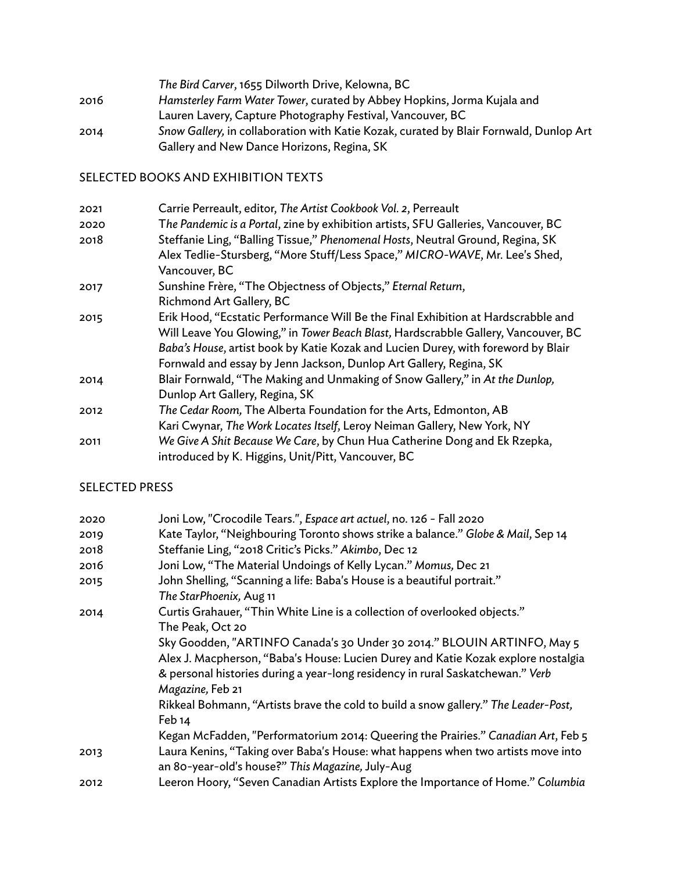*The Bird Carver*, 1655 Dilworth Drive, Kelowna, BC 2016 *Hamsterley Farm Water Tower*, curated by Abbey Hopkins, Jorma Kujala and Lauren Lavery, Capture Photography Festival, Vancouver, BC 2014 *Snow Gallery,* in collaboration with Katie Kozak, curated by Blair Fornwald, Dunlop Art Gallery and New Dance Horizons, Regina, SK

SELECTED BOOKS AND EXHIBITION TEXTS

| 2021 | Carrie Perreault, editor, The Artist Cookbook Vol. 2, Perreault                    |
|------|------------------------------------------------------------------------------------|
| 2020 | The Pandemic is a Portal, zine by exhibition artists, SFU Galleries, Vancouver, BC |
| 2018 | Steffanie Ling, "Balling Tissue," Phenomenal Hosts, Neutral Ground, Regina, SK     |
|      | Alex Tedlie-Stursberg, "More Stuff/Less Space," MICRO-WAVE, Mr. Lee's Shed,        |
|      | Vancouver, BC                                                                      |
| 2017 | Sunshine Frère, "The Objectness of Objects," Eternal Return,                       |
|      | Richmond Art Gallery, BC                                                           |
| 2015 | Erik Hood, "Ecstatic Performance Will Be the Final Exhibition at Hardscrabble and  |
|      | Will Leave You Glowing," in Tower Beach Blast, Hardscrabble Gallery, Vancouver, BC |
|      | Baba's House, artist book by Katie Kozak and Lucien Durey, with foreword by Blair  |
|      | Fornwald and essay by Jenn Jackson, Dunlop Art Gallery, Regina, SK                 |
| 2014 | Blair Fornwald, "The Making and Unmaking of Snow Gallery," in At the Dunlop,       |
|      | Dunlop Art Gallery, Regina, SK                                                     |
| 2012 | The Cedar Room, The Alberta Foundation for the Arts, Edmonton, AB                  |
|      | Kari Cwynar, The Work Locates Itself, Leroy Neiman Gallery, New York, NY           |
| 2011 | We Give A Shit Because We Care, by Chun Hua Catherine Dong and Ek Rzepka,          |
|      | introduced by K. Higgins, Unit/Pitt, Vancouver, BC                                 |

#### SELECTED PRESS

| 2020 | Joni Low, "Crocodile Tears.", Espace art actuel, no. 126 - Fall 2020                |
|------|-------------------------------------------------------------------------------------|
| 2019 | Kate Taylor, "Neighbouring Toronto shows strike a balance." Globe & Mail, Sep 14    |
| 2018 | Steffanie Ling, "2018 Critic's Picks." Akimbo, Dec 12                               |
| 2016 | Joni Low, "The Material Undoings of Kelly Lycan." Momus, Dec 21                     |
| 2015 | John Shelling, "Scanning a life: Baba's House is a beautiful portrait."             |
|      | The StarPhoenix, Aug 11                                                             |
| 2014 | Curtis Grahauer, "Thin White Line is a collection of overlooked objects."           |
|      | The Peak, Oct 20                                                                    |
|      | Sky Goodden, "ARTINFO Canada's 30 Under 30 2014." BLOUIN ARTINFO, May 5             |
|      | Alex J. Macpherson, "Baba's House: Lucien Durey and Katie Kozak explore nostalgia   |
|      | & personal histories during a year-long residency in rural Saskatchewan." Verb      |
|      | Magazine, Feb 21                                                                    |
|      | Rikkeal Bohmann, "Artists brave the cold to build a snow gallery." The Leader-Post, |
|      | Feb 14                                                                              |
|      | Kegan McFadden, "Performatorium 2014: Queering the Prairies." Canadian Art, Feb 5   |
| 2013 | Laura Kenins, "Taking over Baba's House: what happens when two artists move into    |
|      | an 80-year-old's house?" This Magazine, July-Aug                                    |
| 2012 | Leeron Hoory, "Seven Canadian Artists Explore the Importance of Home." Columbia     |
|      |                                                                                     |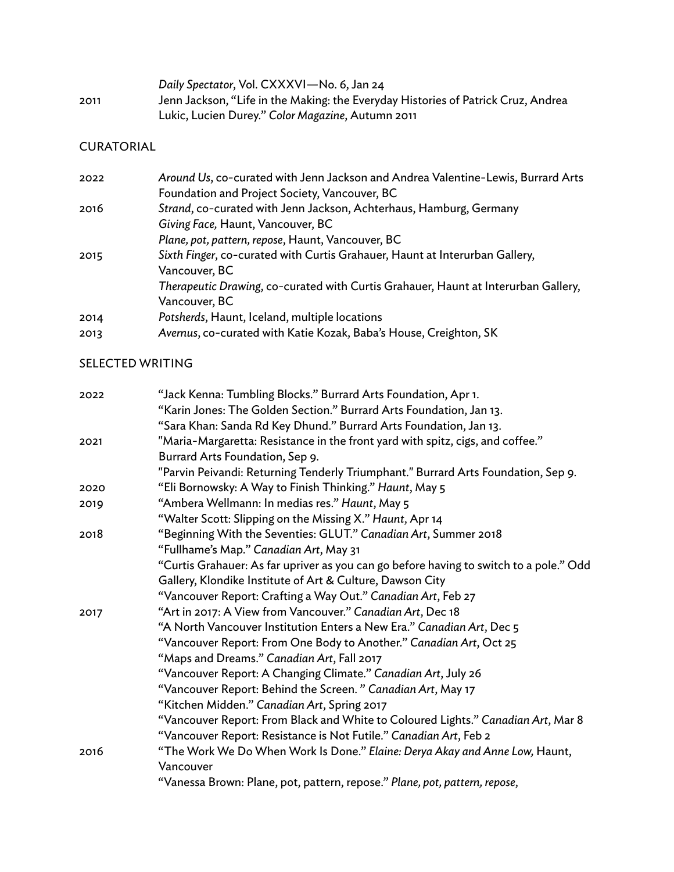|      | Daily Spectator, Vol. CXXXVI-No. 6, Jan 24                                        |
|------|-----------------------------------------------------------------------------------|
| 2011 | Jenn Jackson, "Life in the Making: the Everyday Histories of Patrick Cruz, Andrea |
|      | Lukic, Lucien Durey." Color Magazine, Autumn 2011                                 |

### CURATORIAL

| 2022 | Around Us, co-curated with Jenn Jackson and Andrea Valentine-Lewis, Burrard Arts   |
|------|------------------------------------------------------------------------------------|
|      | Foundation and Project Society, Vancouver, BC                                      |
| 2016 | Strand, co-curated with Jenn Jackson, Achterhaus, Hamburg, Germany                 |
|      | Giving Face, Haunt, Vancouver, BC                                                  |
|      | Plane, pot, pattern, repose, Haunt, Vancouver, BC                                  |
| 2015 | Sixth Finger, co-curated with Curtis Grahauer, Haunt at Interurban Gallery,        |
|      | Vancouver, BC                                                                      |
|      | Therapeutic Drawing, co-curated with Curtis Grahauer, Haunt at Interurban Gallery, |
|      | Vancouver, BC                                                                      |
| 2014 | Potsherds, Haunt, Iceland, multiple locations                                      |
| 2013 | Avernus, co-curated with Katie Kozak, Baba's House, Creighton, SK                  |

## SELECTED WRITING

| 2022 | "Jack Kenna: Tumbling Blocks." Burrard Arts Foundation, Apr 1.                         |
|------|----------------------------------------------------------------------------------------|
|      | "Karin Jones: The Golden Section." Burrard Arts Foundation, Jan 13.                    |
|      | "Sara Khan: Sanda Rd Key Dhund." Burrard Arts Foundation, Jan 13.                      |
| 2021 | "Maria-Margaretta: Resistance in the front yard with spitz, cigs, and coffee."         |
|      | Burrard Arts Foundation, Sep 9.                                                        |
|      | "Parvin Peivandi: Returning Tenderly Triumphant." Burrard Arts Foundation, Sep 9.      |
| 2020 | "Eli Bornowsky: A Way to Finish Thinking." Haunt, May 5                                |
| 2019 | "Ambera Wellmann: In medias res." Haunt, May 5                                         |
|      | "Walter Scott: Slipping on the Missing X." Haunt, Apr 14                               |
| 2018 | "Beginning With the Seventies: GLUT." Canadian Art, Summer 2018                        |
|      | "Fullhame's Map." Canadian Art, May 31                                                 |
|      | "Curtis Grahauer: As far upriver as you can go before having to switch to a pole." Odd |
|      | Gallery, Klondike Institute of Art & Culture, Dawson City                              |
|      | "Vancouver Report: Crafting a Way Out." Canadian Art, Feb 27                           |
| 2017 | "Art in 2017: A View from Vancouver." Canadian Art, Dec 18                             |
|      | "A North Vancouver Institution Enters a New Era." Canadian Art, Dec 5                  |
|      | "Vancouver Report: From One Body to Another." Canadian Art, Oct 25                     |
|      | "Maps and Dreams." Canadian Art, Fall 2017                                             |
|      | "Vancouver Report: A Changing Climate." Canadian Art, July 26                          |
|      | "Vancouver Report: Behind the Screen." Canadian Art, May 17                            |
|      | "Kitchen Midden." Canadian Art, Spring 2017                                            |
|      | "Vancouver Report: From Black and White to Coloured Lights." Canadian Art, Mar 8       |
|      | "Vancouver Report: Resistance is Not Futile." Canadian Art, Feb 2                      |
| 2016 | "The Work We Do When Work Is Done." Elaine: Derya Akay and Anne Low, Haunt,            |
|      | Vancouver                                                                              |
|      | "Vanessa Brown: Plane, pot, pattern, repose." Plane, pot, pattern, repose,             |